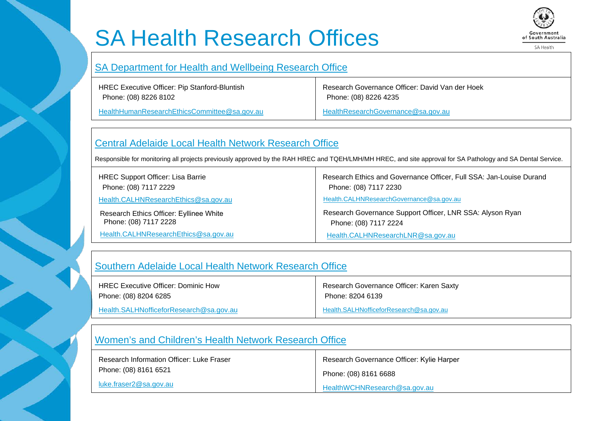# SA Health Research Offices



SA Health

#### [SA Department for Health and Wellbeing Research Office](https://www.sahealth.sa.gov.au/wps/wcm/connect/public+content/sa+health+internet/about+us/health+and+medical+research/research+ethics)

HREC Executive Officer: Pip Stanford-Bluntish Phone: (08) 8226 8102

[HealthHumanResearchEthicsCommittee@sa.gov.au](mailto:HealthHumanResearchEthicsCommittee@sa.gov.au)

Research Governance Officer: David Van der Hoek Phone: (08) 8226 4235

[HealthResearchGovernance@sa.gov.au](mailto:HealthResearchGovernance@sa.gov.au)

### [Central Adelaide Local Health Network Research Office](https://www.rah.sa.gov.au/research/for-researchers/central-adelaide-local-health-network-human-research-ethics-committee)

Responsible for monitoring all projects previously approved by the RAH HREC and TQEH/LMH/MH HREC, and site approval for SA Pathology and SA Dental Service.

| <b>HREC Support Officer: Lisa Barrie</b> | Research Ethics and Governance Officer, Full SSA: Jan-Louise Durand |
|------------------------------------------|---------------------------------------------------------------------|
| Phone: (08) 7117 2229                    | Phone: (08) 7117 2230                                               |
| Health.CALHNResearchEthics@sa.gov.au     | Health.CALHNResearchGovernance@sa.gov.au                            |
| Research Ethics Officer: Eyllinee White  | Research Governance Support Officer, LNR SSA: Alyson Ryan           |
| Phone: (08) 7117 2228                    | Phone: (08) 7117 2224                                               |
| Health.CALHNResearchEthics@sa.gov.au     | Health.CALHNResearchLNR@sa.gov.au                                   |

#### [Southern Adelaide Local Health Network Research Office](https://www.sahealth.sa.gov.au/wps/wcm/connect/public+content/sa+health+internet/about+us/our+local+health+networks/southern+adelaide+local+health+network/research/southern+adelaide+clinical+human+research+ethics+committee)

| <b>HREC Executive Officer: Dominic How</b> | Research Governance Officer: Karen Saxty |
|--------------------------------------------|------------------------------------------|
| Phone: (08) 8204 6285                      | Phone: 8204 6139                         |
| Health.SALHNofficeforResearch@sa.gov.au    | Health.SALHNofficeforResearch@sa.gov.au  |

## [Women's and Children's Health Network Research Office](http://www.wch.sa.gov.au/research/committees/humanethics/index.html)

| Research Information Officer: Luke Fraser | Research Governance Officer: Kylie Harper |
|-------------------------------------------|-------------------------------------------|
| Phone: (08) 8161 6521                     | Phone: (08) 8161 6688                     |
| luke.fraser2@sa.gov.au                    | HealthWCHNResearch@sa.gov.au              |